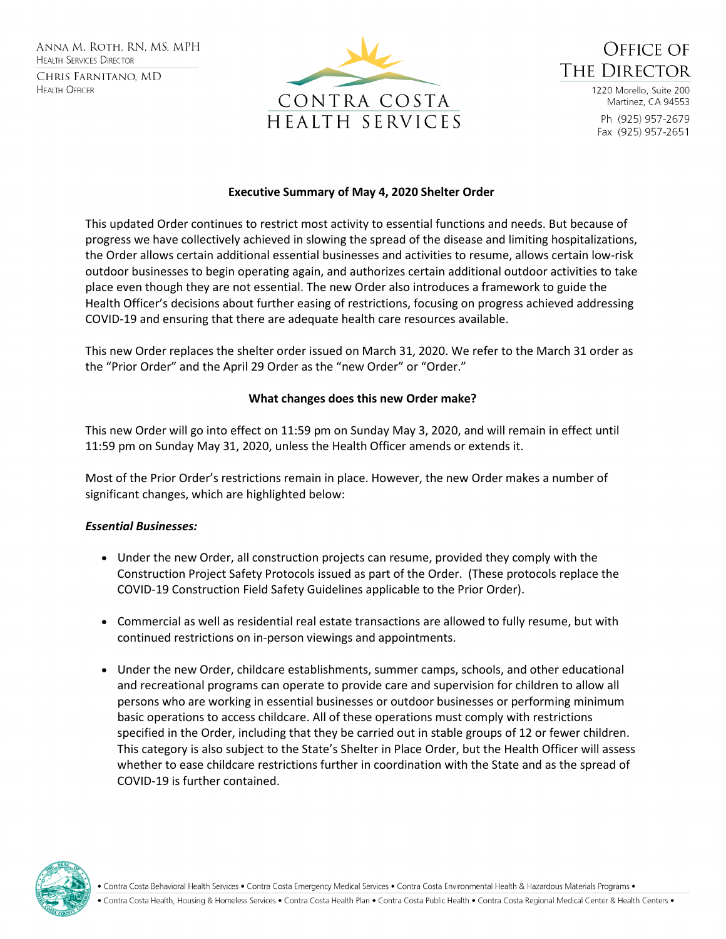Anna M. Roth, RN, MS, MPH **HEALTH SERVICES DIRECTOR** CHRIS FARNITANO, MD **HEALTH OFFICER** 





1220 Morello, Suite 200 Martinez, CA 94553 Ph (925) 957-2679 Fax (925) 957-2651

### **Executive Summary of May 4, 2020 Shelter Order**

This updated Order continues to restrict most activity to essential functions and needs. But because of progress we have collectively achieved in slowing the spread of the disease and limiting hospitalizations, the Order allows certain additional essential businesses and activities to resume, allows certain low-risk outdoor businesses to begin operating again, and authorizes certain additional outdoor activities to take place even though they are not essential. The new Order also introduces a framework to guide the Health Officer's decisions about further easing of restrictions, focusing on progress achieved addressing COVID-19 and ensuring that there are adequate health care resources available.

This new Order replaces the shelter order issued on March 31, 2020. We refer to the March 31 order as the "Prior Order" and the April 29 Order as the "new Order" or "Order."

#### **What changes does this new Order make?**

This new Order will go into effect on 11:59 pm on Sunday May 3, 2020, and will remain in effect until 11:59 pm on Sunday May 31, 2020, unless the Health Officer amends or extends it.

Most of the Prior Order's restrictions remain in place. However, the new Order makes a number of significant changes, which are highlighted below:

### *Essential Businesses:*

- Under the new Order, all construction projects can resume, provided they comply with the Construction Project Safety Protocols issued as part of the Order. (These protocols replace the COVID-19 Construction Field Safety Guidelines applicable to the Prior Order).
- Commercial as well as residential real estate transactions are allowed to fully resume, but with continued restrictions on in-person viewings and appointments.
- Under the new Order, childcare establishments, summer camps, schools, and other educational and recreational programs can operate to provide care and supervision for children to allow all persons who are working in essential businesses or outdoor businesses or performing minimum basic operations to access childcare. All of these operations must comply with restrictions specified in the Order, including that they be carried out in stable groups of 12 or fewer children. This category is also subject to the State's Shelter in Place Order, but the Health Officer will assess whether to ease childcare restrictions further in coordination with the State and as the spread of COVID-19 is further contained.



Contra Costa Behavioral Health Services . Contra Costa Emergency Medical Services . Contra Costa Environmental Health & Hazardous Materials Programs .